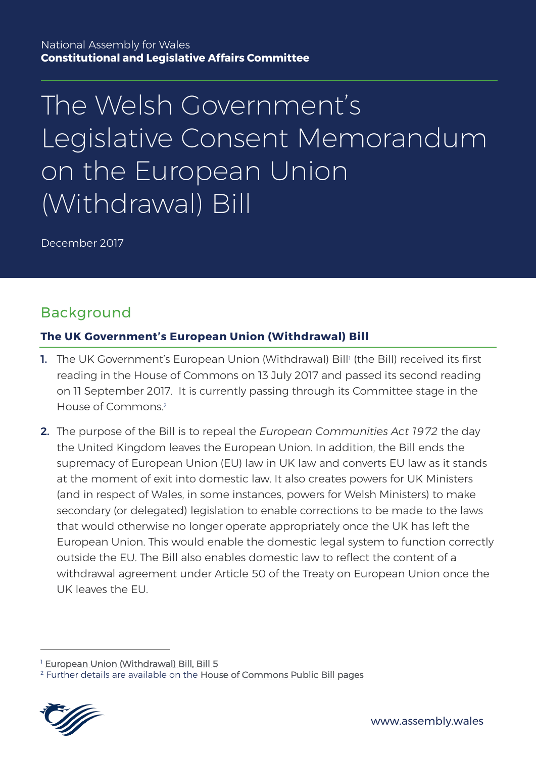# The Welsh Government's Legislative Consent Memorandum on the European Union (Withdrawal) Bill

December 2017

## Background

#### **The UK Government's European Union (Withdrawal) Bill**

- **1.** The UK Government's European Union (Withdrawal) Bill<sup>1</sup> (the Bill) received its first reading in the House of Commons on 13 July 2017 and passed its second reading on 11 September 2017. It is currently passing through its Committee stage in the House of Commons.<sup>2</sup>
- 2. The purpose of the Bill is to repeal the *European Communities Act 1972* the day the United Kingdom leaves the European Union. In addition, the Bill ends the supremacy of European Union (EU) law in UK law and converts EU law as it stands at the moment of exit into domestic law. It also creates powers for UK Ministers (and in respect of Wales, in some instances, powers for Welsh Ministers) to make secondary (or delegated) legislation to enable corrections to be made to the laws that would otherwise no longer operate appropriately once the UK has left the European Union. This would enable the domestic legal system to function correctly outside the EU. The Bill also enables domestic law to reflect the content of a withdrawal agreement under Article 50 of the Treaty on European Union once the UK leaves the EU.

<sup>&</sup>lt;sup>2</sup> Further details are available on the [House of Commons Public Bill pages](https://services.parliament.uk/bills/2017-19/europeanunionwithdrawal/documents.html)



<sup>&</sup>lt;sup>1</sup> [European Union \(Withdrawal\) Bill, Bill 5](https://publications.parliament.uk/pa/bills/cbill/2017-2019/0005/cbill_2017-20190005_en_1.htm)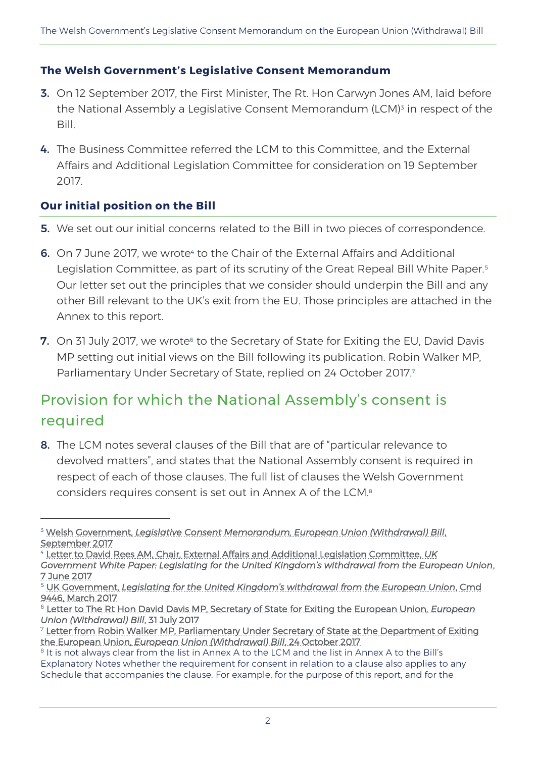#### **The Welsh Government's Legislative Consent Memorandum**

- 3. On 12 September 2017, the First Minister, The Rt. Hon Carwyn Jones AM, laid before the National Assembly a Legislative Consent Memorandum (LCM)<sup>3</sup> in respect of the Bill.
- 4. The Business Committee referred the LCM to this Committee, and the External Affairs and Additional Legislation Committee for consideration on 19 September 2017.

#### **Our initial position on the Bill**

 $\overline{a}$ 

- **5.** We set out our initial concerns related to the Bill in two pieces of correspondence.
- **6.** On 7 June 2017, we wrote<sup>4</sup> to the Chair of the External Affairs and Additional Legislation Committee, as part of its scrutiny of the Great Repeal Bill White Paper.<sup>5</sup> Our letter set out the principles that we consider should underpin the Bill and any other Bill relevant to the UK's exit from the EU. Those principles are attached in the Annex to this report.
- **7.** On 31 July 2017, we wrote<sup>6</sup> to the Secretary of State for Exiting the EU, David Davis MP setting out initial views on the Bill following its publication. Robin Walker MP, Parliamentary Under Secretary of State, replied on 24 October 2017.<sup>7</sup>

# Provision for which the National Assembly's consent is required

8. The LCM notes several clauses of the Bill that are of "particular relevance to devolved matters", and states that the National Assembly consent is required in respect of each of those clauses. The full list of clauses the Welsh Government considers requires consent is set out in Annex A of the LCM. 8

<sup>4</sup> [Letter to David Rees AM, Chair, External Affairs and Additional Legislation Committee,](http://senedd.assembly.wales/documents/s70079/Letter%20to%20Chair%20of%20the%20External%20Affairs%20and%20Additional%20Legislation%20Committee%20Great%20Repeal%20Bill%20Inqu.pdf) *UK* 

<sup>3</sup> Welsh Government, *[Legislative Consent Memorandum, European Union \(Withdrawal\) Bill](http://www.assembly.wales/laid%20documents/lcm-ld11177/lcm-ld11177-e.pdf)*, [September 2017](http://www.assembly.wales/laid%20documents/lcm-ld11177/lcm-ld11177-e.pdf)

*[Government White Paper: Legislating for the United Kingdom's withdrawal from the European Union](http://senedd.assembly.wales/documents/s70079/Letter%20to%20Chair%20of%20the%20External%20Affairs%20and%20Additional%20Legislation%20Committee%20Great%20Repeal%20Bill%20Inqu.pdf)*, [7 June 2017](http://senedd.assembly.wales/documents/s70079/Letter%20to%20Chair%20of%20the%20External%20Affairs%20and%20Additional%20Legislation%20Committee%20Great%20Repeal%20Bill%20Inqu.pdf)

<sup>5</sup> UK Government, *[Legislating for the United Kingdom's withdrawal from the European Union](https://www.gov.uk/government/uploads/system/uploads/attachment_data/file/604516/Great_repeal_bill_white_paper_accessible.pdf)*, Cmd [9446, March 2017](https://www.gov.uk/government/uploads/system/uploads/attachment_data/file/604516/Great_repeal_bill_white_paper_accessible.pdf)

<sup>6</sup> [Letter to The Rt Hon David Davis MP, Secretary of State for Exiting the European Union,](http://senedd.assembly.wales/documents/s68221/PTN%203b.pdf) *European [Union \(Withdrawal\) Bill](http://senedd.assembly.wales/documents/s68221/PTN%203b.pdf)*, 31 July 2017

<sup>7</sup> [Letter from Robin Walker MP, Parliamentary Under Secretary of State at the Department of Exiting](http://senedd.assembly.wales/documents/s68220/PTN%203a.pdf)  the European Union, *[European Union \(Withdrawal\) Bill](http://senedd.assembly.wales/documents/s68220/PTN%203a.pdf)*, 24 October 2017

<sup>&</sup>lt;sup>8</sup> It is not always clear from the list in Annex A to the LCM and the list in Annex A to the Bill's Explanatory Notes whether the requirement for consent in relation to a clause also applies to any Schedule that accompanies the clause. For example, for the purpose of this report, and for the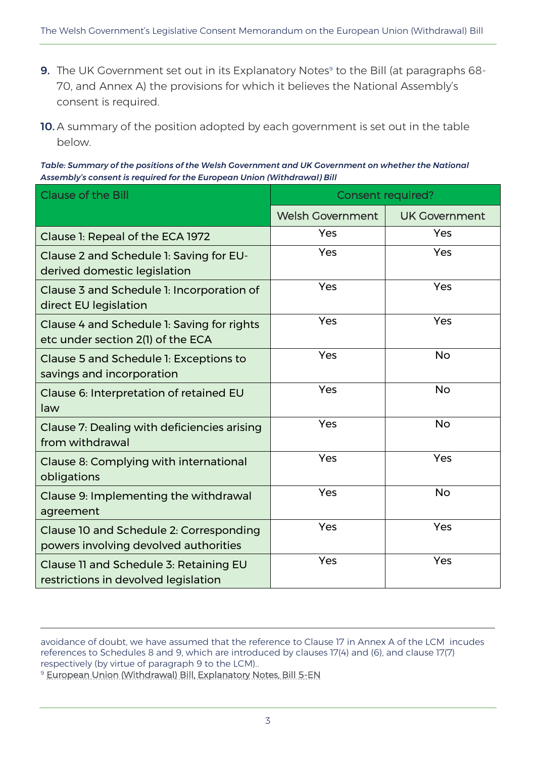- **9.** The UK Government set out in its Explanatory Notes $^\circ$  to the Bill (at paragraphs 68-70, and Annex A) the provisions for which it believes the National Assembly's consent is required.
- 10. A summary of the position adopted by each government is set out in the table below.

*Table: Summary of the positions of the Welsh Government and UK Government on whether the National Assembly's consent is required for the European Union (Withdrawal) Bill*

| <b>Clause of the Bill</b>                                                        | <b>Consent required?</b> |                      |
|----------------------------------------------------------------------------------|--------------------------|----------------------|
|                                                                                  | <b>Welsh Government</b>  | <b>UK Government</b> |
| Clause 1: Repeal of the ECA 1972                                                 | Yes                      | Yes                  |
| Clause 2 and Schedule 1: Saving for EU-<br>derived domestic legislation          | Yes                      | Yes                  |
| Clause 3 and Schedule 1: Incorporation of<br>direct EU legislation               | Yes                      | Yes                  |
| Clause 4 and Schedule 1: Saving for rights<br>etc under section 2(1) of the ECA  | Yes                      | Yes                  |
| Clause 5 and Schedule 1: Exceptions to<br>savings and incorporation              | Yes                      | <b>No</b>            |
| Clause 6: Interpretation of retained EU<br>law                                   | Yes                      | <b>No</b>            |
| Clause 7: Dealing with deficiencies arising<br>from withdrawal                   | Yes                      | <b>No</b>            |
| Clause 8: Complying with international<br>obligations                            | Yes                      | Yes                  |
| Clause 9: Implementing the withdrawal<br>agreement                               | Yes                      | <b>No</b>            |
| Clause 10 and Schedule 2: Corresponding<br>powers involving devolved authorities | Yes                      | Yes                  |
| Clause II and Schedule 3: Retaining EU<br>restrictions in devolved legislation   | Yes                      | Yes                  |

avoidance of doubt, we have assumed that the reference to Clause 17 in Annex A of the LCM incudes references to Schedules 8 and 9, which are introduced by clauses 17(4) and (6), and clause 17(7) respectively (by virtue of paragraph 9 to the LCM)..

<sup>9</sup> [European Union \(Withdrawal\) Bill, Explanatory Notes, Bill 5-EN](https://publications.parliament.uk/pa/bills/cbill/2017-2019/0005/en/18005en.pdf18005en01.htm)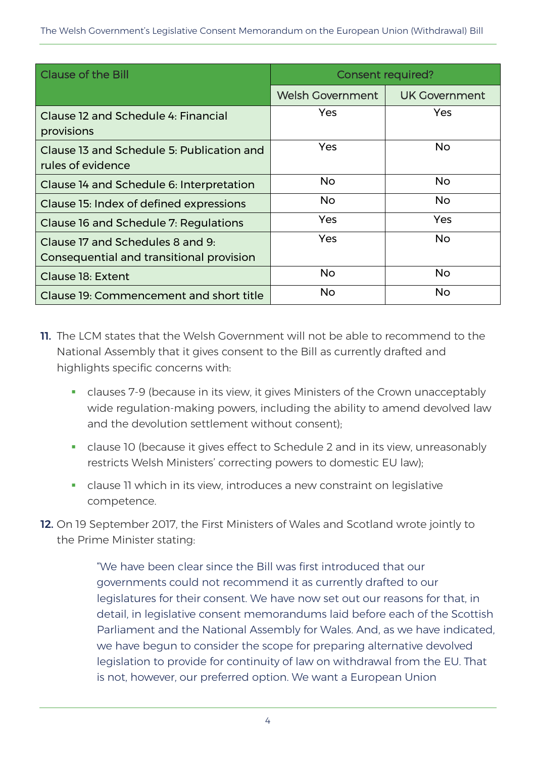| <b>Clause of the Bill</b>                                                    | <b>Consent required?</b> |                      |
|------------------------------------------------------------------------------|--------------------------|----------------------|
|                                                                              | <b>Welsh Government</b>  | <b>UK Government</b> |
| Clause 12 and Schedule 4: Financial<br>provisions                            | Yes                      | Yes                  |
| Clause 13 and Schedule 5: Publication and<br>rules of evidence               | Yes                      | <b>No</b>            |
| Clause 14 and Schedule 6: Interpretation                                     | <b>No</b>                | <b>No</b>            |
| Clause 15: Index of defined expressions                                      | <b>No</b>                | <b>No</b>            |
| Clause 16 and Schedule 7: Regulations                                        | <b>Yes</b>               | Yes                  |
| Clause 17 and Schedules 8 and 9:<br>Consequential and transitional provision | Yes                      | <b>No</b>            |
| Clause 18: Extent                                                            | <b>No</b>                | <b>No</b>            |
| Clause 19: Commencement and short title                                      | <b>No</b>                | <b>No</b>            |

- 11. The LCM states that the Welsh Government will not be able to recommend to the National Assembly that it gives consent to the Bill as currently drafted and highlights specific concerns with:
	- clauses 7-9 (because in its view, it gives Ministers of the Crown unacceptably wide regulation-making powers, including the ability to amend devolved law and the devolution settlement without consent);
	- clause 10 (because it gives effect to Schedule 2 and in its view, unreasonably restricts Welsh Ministers' correcting powers to domestic EU law);
	- clause 11 which in its view, introduces a new constraint on legislative competence.
- 12. On 19 September 2017, the First Ministers of Wales and Scotland wrote jointly to the Prime Minister stating:

"We have been clear since the Bill was first introduced that our governments could not recommend it as currently drafted to our legislatures for their consent. We have now set out our reasons for that, in detail, in legislative consent memorandums laid before each of the Scottish Parliament and the National Assembly for Wales. And, as we have indicated, we have begun to consider the scope for preparing alternative devolved legislation to provide for continuity of law on withdrawal from the EU. That is not, however, our preferred option. We want a European Union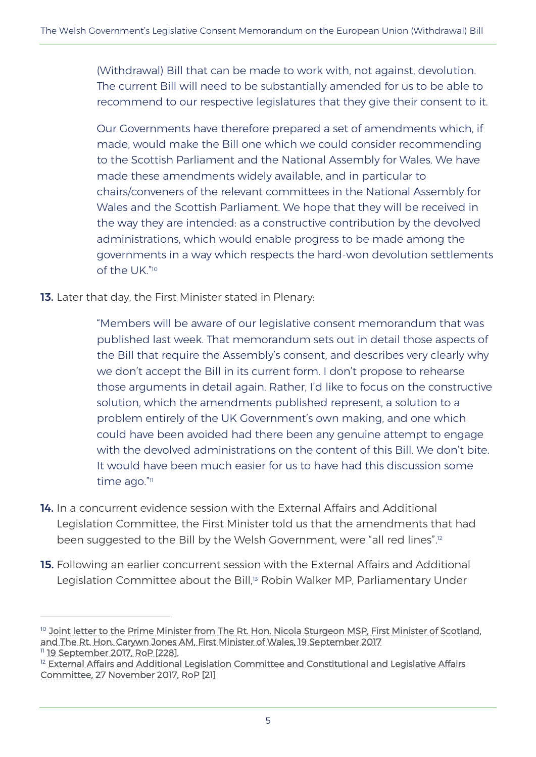(Withdrawal) Bill that can be made to work with, not against, devolution. The current Bill will need to be substantially amended for us to be able to recommend to our respective legislatures that they give their consent to it.

Our Governments have therefore prepared a set of amendments which, if made, would make the Bill one which we could consider recommending to the Scottish Parliament and the National Assembly for Wales. We have made these amendments widely available, and in particular to chairs/conveners of the relevant committees in the National Assembly for Wales and the Scottish Parliament. We hope that they will be received in the way they are intended: as a constructive contribution by the devolved administrations, which would enable progress to be made among the governments in a way which respects the hard-won devolution settlements of the UK." 10

13. Later that day, the First Minister stated in Plenary:

 $\overline{a}$ 

"Members will be aware of our legislative consent memorandum that was published last week. That memorandum sets out in detail those aspects of the Bill that require the Assembly's consent, and describes very clearly why we don't accept the Bill in its current form. I don't propose to rehearse those arguments in detail again. Rather, I'd like to focus on the constructive solution, which the amendments published represent, a solution to a problem entirely of the UK Government's own making, and one which could have been avoided had there been any genuine attempt to engage with the devolved administrations on the content of this Bill. We don't bite. It would have been much easier for us to have had this discussion some time ago."11

- 14. In a concurrent evidence session with the External Affairs and Additional Legislation Committee, the First Minister told us that the amendments that had been suggested to the Bill by the Welsh Government, were "all red lines". 12
- 15. Following an earlier concurrent session with the External Affairs and Additional Legislation Committee about the Bill,<sup>13</sup> Robin Walker MP, Parliamentary Under

<sup>&</sup>lt;sup>10</sup> Joint letter to the Prime Minister from The Rt. Hon. Nicola Sturgeon MSP, First Minister of Scotland, [and The Rt. Hon. Carywn Jones AM, First Minister of Wales, 19 September 2017](http://senedd.assembly.wales/documents/s500003887/Paper%208.pdf) <sup>11</sup> [19 September 2017, RoP \[228\].](http://record.assembly.wales/Meeting/4483)

 $12$  External Affairs and Additional Legislation Committee and Constitutional and Legislative Affairs. [Committee, 27 November 2017, RoP \[21\]](http://record.assembly.wales/Committee/4889)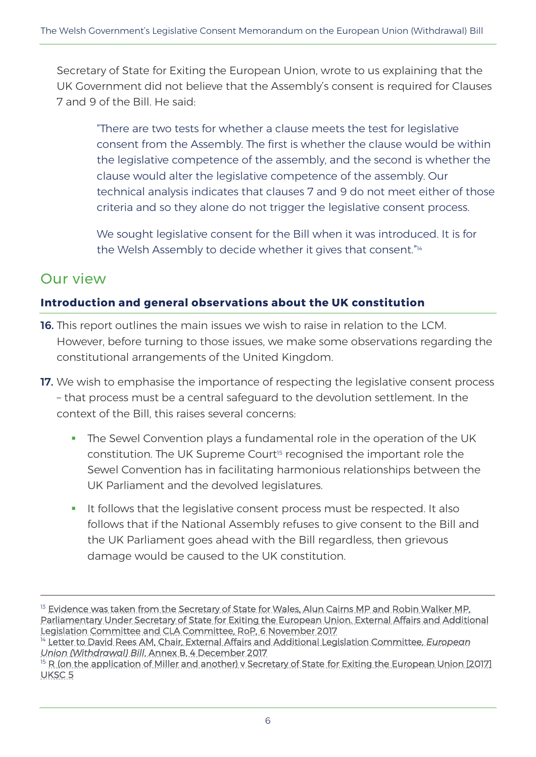Secretary of State for Exiting the European Union, wrote to us explaining that the UK Government did not believe that the Assembly's consent is required for Clauses 7 and 9 of the Bill. He said:

"There are two tests for whether a clause meets the test for legislative consent from the Assembly. The first is whether the clause would be within the legislative competence of the assembly, and the second is whether the clause would alter the legislative competence of the assembly. Our technical analysis indicates that clauses 7 and 9 do not meet either of those criteria and so they alone do not trigger the legislative consent process.

We sought legislative consent for the Bill when it was introduced. It is for the Welsh Assembly to decide whether it gives that consent."<sup>14</sup>

### Our view

 $\overline{a}$ 

#### **Introduction and general observations about the UK constitution**

- 16. This report outlines the main issues we wish to raise in relation to the LCM. However, before turning to those issues, we make some observations regarding the constitutional arrangements of the United Kingdom.
- 17. We wish to emphasise the importance of respecting the legislative consent process – that process must be a central safeguard to the devolution settlement. In the context of the Bill, this raises several concerns:
	- The Sewel Convention plays a fundamental role in the operation of the UK constitution. The UK Supreme Court<sup>15</sup> recognised the important role the Sewel Convention has in facilitating harmonious relationships between the UK Parliament and the devolved legislatures.
	- It follows that the legislative consent process must be respected. It also follows that if the National Assembly refuses to give consent to the Bill and the UK Parliament goes ahead with the Bill regardless, then grievous damage would be caused to the UK constitution.

<sup>&</sup>lt;sup>13</sup> Evidence was taken from the Secretary of State for Wales, Alun Cairns MP and Robin Walker MP, [Parliamentary Under Secretary of State for Exiting the European Union. External Affairs and Additional](http://record.assembly.wales/Meeting/4716)  [Legislation Committee and CLA Committee, RoP, 6 November 2017](http://record.assembly.wales/Meeting/4716)

<sup>&</sup>lt;sup>14</sup> [Letter to David Rees AM, Chair, External Affairs and Additional Legislation Committee,](http://senedd.assembly.wales/documents/s69597/PTN%203%20-%20Letter%20from%20Robin%20Walker%20MP%20Parliamentary%20Under-Secretary%20of%20State%20for%20Exiting%20the%20European.pdf) *European Union (Withdrawal) Bill*[, Annex B, 4 December 2017](http://senedd.assembly.wales/documents/s69597/PTN%203%20-%20Letter%20from%20Robin%20Walker%20MP%20Parliamentary%20Under-Secretary%20of%20State%20for%20Exiting%20the%20European.pdf)

<sup>&</sup>lt;sup>15</sup> R (on the application of Miller and another) v Secretary of State for Exiting the European Union [2017] [UKSC 5](https://www.supremecourt.uk/cases/docs/uksc-2016-0196-judgment.pdf)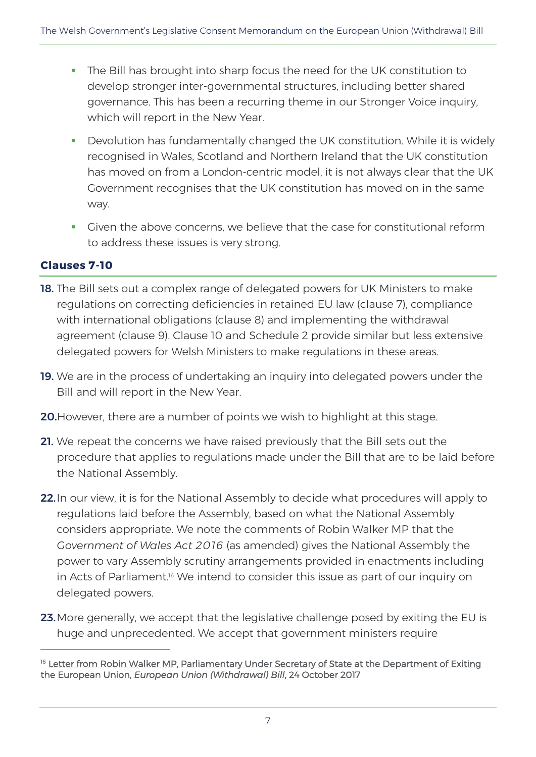- The Bill has brought into sharp focus the need for the UK constitution to develop stronger inter-governmental structures, including better shared governance. This has been a recurring theme in our Stronger Voice inquiry, which will report in the New Year.
- Devolution has fundamentally changed the UK constitution. While it is widely recognised in Wales, Scotland and Northern Ireland that the UK constitution has moved on from a London-centric model, it is not always clear that the UK Government recognises that the UK constitution has moved on in the same way.
- Given the above concerns, we believe that the case for constitutional reform to address these issues is very strong.

#### **Clauses 7-10**

- 18. The Bill sets out a complex range of delegated powers for UK Ministers to make regulations on correcting deficiencies in retained EU law (clause 7), compliance with international obligations (clause 8) and implementing the withdrawal agreement (clause 9). Clause 10 and Schedule 2 provide similar but less extensive delegated powers for Welsh Ministers to make regulations in these areas.
- 19. We are in the process of undertaking an inquiry into delegated powers under the Bill and will report in the New Year.
- 20. However, there are a number of points we wish to highlight at this stage.
- 21. We repeat the concerns we have raised previously that the Bill sets out the procedure that applies to regulations made under the Bill that are to be laid before the National Assembly.
- 22. In our view, it is for the National Assembly to decide what procedures will apply to regulations laid before the Assembly, based on what the National Assembly considers appropriate. We note the comments of Robin Walker MP that the *Government of Wales Act 2016* (as amended) gives the National Assembly the power to vary Assembly scrutiny arrangements provided in enactments including in Acts of Parliament. <sup>16</sup> We intend to consider this issue as part of our inquiry on delegated powers.
- 23. More generally, we accept that the legislative challenge posed by exiting the EU is huge and unprecedented. We accept that government ministers require

<sup>&</sup>lt;sup>16</sup> Letter from Robin Walker MP, Parliamentary Under Secretary of State at the Department of Exiting the European Union, *[European Union \(Withdrawal\) Bill](http://senedd.assembly.wales/documents/s68220/PTN%203a.pdf)*, 24 October 2017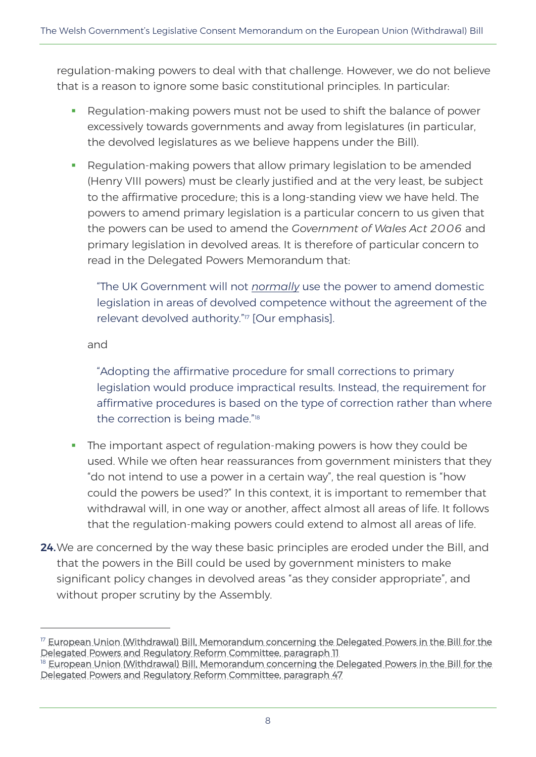regulation-making powers to deal with that challenge. However, we do not believe that is a reason to ignore some basic constitutional principles. In particular:

- Regulation-making powers must not be used to shift the balance of power excessively towards governments and away from legislatures (in particular, the devolved legislatures as we believe happens under the Bill).
- Regulation-making powers that allow primary legislation to be amended (Henry VIII powers) must be clearly justified and at the very least, be subject to the affirmative procedure; this is a long-standing view we have held. The powers to amend primary legislation is a particular concern to us given that the powers can be used to amend the *Government of Wales Act 2006* and primary legislation in devolved areas. It is therefore of particular concern to read in the Delegated Powers Memorandum that:

"The UK Government will not *normally* use the power to amend domestic legislation in areas of devolved competence without the agreement of the relevant devolved authority."<sup>17</sup> [Our emphasis].

#### and

 $\overline{a}$ 

"Adopting the affirmative procedure for small corrections to primary legislation would produce impractical results. Instead, the requirement for affirmative procedures is based on the type of correction rather than where the correction is being made."<sup>18</sup>

- The important aspect of regulation-making powers is how they could be used. While we often hear reassurances from government ministers that they "do not intend to use a power in a certain way", the real question is "how could the powers be used?" In this context, it is important to remember that withdrawal will, in one way or another, affect almost all areas of life. It follows that the regulation-making powers could extend to almost all areas of life.
- 24. We are concerned by the way these basic principles are eroded under the Bill, and that the powers in the Bill could be used by government ministers to make significant policy changes in devolved areas "as they consider appropriate", and without proper scrutiny by the Assembly.

<sup>&</sup>lt;sup>17</sup> European Union (Withdrawal) Bill, Memorandum concerning the Delegated Powers in the Bill for the [Delegated Powers and Regulatory Reform Committee, paragraph 11](https://publications.parliament.uk/pa/bills/cbill/2017-2019/0005/delegated%20powers%20memorandum%20for%20European%20Union%20(Withdrawal)%20Bill.pdf)

<sup>&</sup>lt;sup>18</sup> European Union (Withdrawal) Bill, Memorandum concerning the Delegated Powers in the Bill for the [Delegated Powers and Regulatory Reform Committee, paragraph 47](https://publications.parliament.uk/pa/bills/cbill/2017-2019/0005/delegated%20powers%20memorandum%20for%20European%20Union%20(Withdrawal)%20Bill.pdf)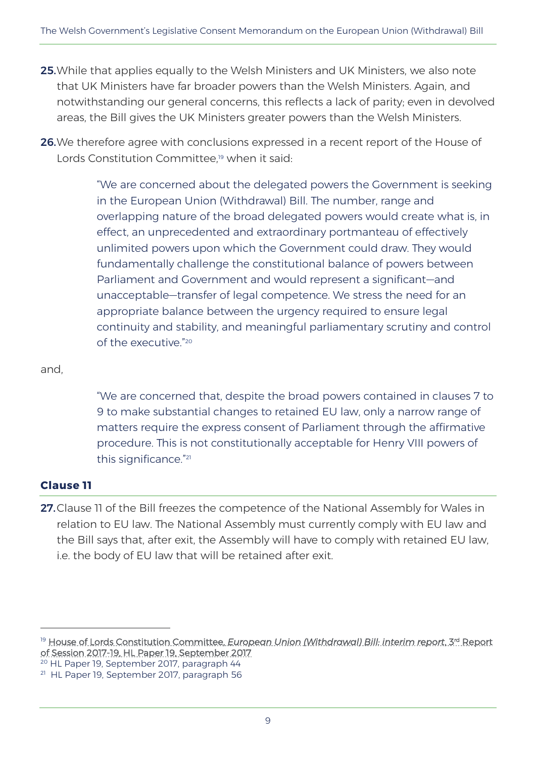- 25. While that applies equally to the Welsh Ministers and UK Ministers, we also note that UK Ministers have far broader powers than the Welsh Ministers. Again, and notwithstanding our general concerns, this reflects a lack of parity; even in devolved areas, the Bill gives the UK Ministers greater powers than the Welsh Ministers.
- 26. We therefore agree with conclusions expressed in a recent report of the House of Lords Constitution Committee.<sup>19</sup> when it said:

"We are concerned about the delegated powers the Government is seeking in the European Union (Withdrawal) Bill. The number, range and overlapping nature of the broad delegated powers would create what is, in effect, an unprecedented and extraordinary portmanteau of effectively unlimited powers upon which the Government could draw. They would fundamentally challenge the constitutional balance of powers between Parliament and Government and would represent a significant—and unacceptable—transfer of legal competence. We stress the need for an appropriate balance between the urgency required to ensure legal continuity and stability, and meaningful parliamentary scrutiny and control of the executive." 20

#### and,

"We are concerned that, despite the broad powers contained in clauses 7 to 9 to make substantial changes to retained EU law, only a narrow range of matters require the express consent of Parliament through the affirmative procedure. This is not constitutionally acceptable for Henry VIII powers of this significance." 21

#### **Clause 11**

 $\overline{a}$ 

27. Clause 11 of the Bill freezes the competence of the National Assembly for Wales in relation to EU law. The National Assembly must currently comply with EU law and the Bill says that, after exit, the Assembly will have to comply with retained EU law, i.e. the body of EU law that will be retained after exit.

<sup>20</sup> HL Paper 19, September 2017, paragraph 44

<sup>&</sup>lt;sup>19</sup> House of Lords Constitution Committee, *European Union (Withdrawal) Bill, interim report, 3rd Report*, [of Session 2017-19, HL Paper 19, September 2017](https://publications.parliament.uk/pa/ld201719/ldselect/ldconst/19/19.pdf)

<sup>21</sup> HL Paper 19, September 2017, paragraph 56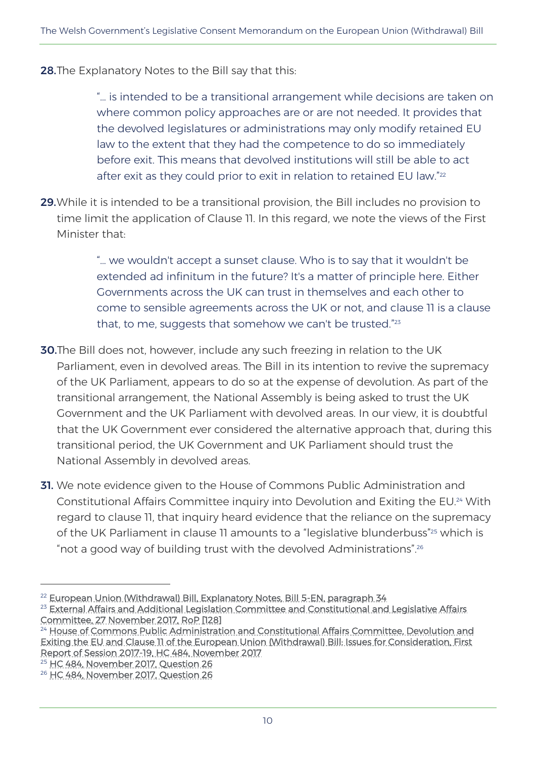**28.**The Explanatory Notes to the Bill say that this:

"… is intended to be a transitional arrangement while decisions are taken on where common policy approaches are or are not needed. It provides that the devolved legislatures or administrations may only modify retained EU law to the extent that they had the competence to do so immediately before exit. This means that devolved institutions will still be able to act after exit as they could prior to exit in relation to retained EU law." 22

29. While it is intended to be a transitional provision, the Bill includes no provision to time limit the application of Clause 11. In this regard, we note the views of the First Minister that:

> "… we wouldn't accept a sunset clause. Who is to say that it wouldn't be extended ad infinitum in the future? It's a matter of principle here. Either Governments across the UK can trust in themselves and each other to come to sensible agreements across the UK or not, and clause 11 is a clause that, to me, suggests that somehow we can't be trusted."<sup>23</sup>

- 30.The Bill does not, however, include any such freezing in relation to the UK Parliament, even in devolved areas. The Bill in its intention to revive the supremacy of the UK Parliament, appears to do so at the expense of devolution. As part of the transitional arrangement, the National Assembly is being asked to trust the UK Government and the UK Parliament with devolved areas. In our view, it is doubtful that the UK Government ever considered the alternative approach that, during this transitional period, the UK Government and UK Parliament should trust the National Assembly in devolved areas.
- **31.** We note evidence given to the House of Commons Public Administration and Constitutional Affairs Committee inquiry into Devolution and Exiting the EU.<sup>24</sup> With regard to clause 11, that inquiry heard evidence that the reliance on the supremacy of the UK Parliament in clause 11 amounts to a "legislative blunderbuss"<sup>25</sup> which is "not a good way of building trust with the devolved Administrations".<sup>26</sup>

<sup>&</sup>lt;sup>22</sup> [European Union \(Withdrawal\) Bill, Explanatory Notes, Bill 5-EN, paragraph 34](https://publications.parliament.uk/pa/bills/cbill/2017-2019/0005/en/18005en.pdf)

<sup>&</sup>lt;sup>23</sup> External Affairs and Additional Legislation Committee and Constitutional and Legislative Affairs [Committee, 27 November 2017, RoP \[128\]](http://record.assembly.wales/Meeting/4889)

<sup>&</sup>lt;sup>24</sup> House of Commons Public Administration and Constitutional Affairs Committee, Devolution and [Exiting the EU and Clause 11 of the European Union \(Withdrawal\) Bill: Issues for Consideration, First](https://publications.parliament.uk/pa/cm201719/cmselect/cmpubadm/484/48402.htm)  [Report of Session 2017-19, HC 484, November 2017](https://publications.parliament.uk/pa/cm201719/cmselect/cmpubadm/484/48402.htm)

<sup>&</sup>lt;sup>25</sup> [HC 484, November 2017, Question 26](http://data.parliament.uk/writtenevidence/committeeevidence.svc/evidencedocument/public-administration-and-constitutional-affairs-committee/devolution-and-exiting-the-eu/oral/72672.html)

<sup>&</sup>lt;sup>26</sup> [HC 484, November 2017, Question 26](http://data.parliament.uk/writtenevidence/committeeevidence.svc/evidencedocument/public-administration-and-constitutional-affairs-committee/devolution-and-exiting-the-eu/oral/72672.html)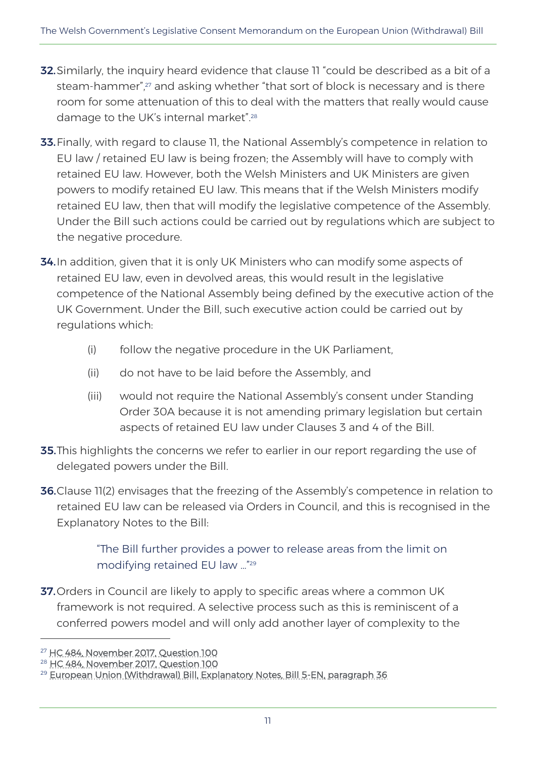- **32.** Similarly, the inquiry heard evidence that clause 11 "could be described as a bit of a steam-hammer<sup>"</sup>,<sup>27</sup> and asking whether "that sort of block is necessary and is there room for some attenuation of this to deal with the matters that really would cause damage to the UK's internal market".<sup>28</sup>
- 33. Finally, with regard to clause 11, the National Assembly's competence in relation to EU law / retained EU law is being frozen; the Assembly will have to comply with retained EU law. However, both the Welsh Ministers and UK Ministers are given powers to modify retained EU law. This means that if the Welsh Ministers modify retained EU law, then that will modify the legislative competence of the Assembly. Under the Bill such actions could be carried out by regulations which are subject to the negative procedure.
- 34. In addition, given that it is only UK Ministers who can modify some aspects of retained EU law, even in devolved areas, this would result in the legislative competence of the National Assembly being defined by the executive action of the UK Government. Under the Bill, such executive action could be carried out by regulations which:
	- (i) follow the negative procedure in the UK Parliament,
	- (ii) do not have to be laid before the Assembly, and
	- (iii) would not require the National Assembly's consent under Standing Order 30A because it is not amending primary legislation but certain aspects of retained EU law under Clauses 3 and 4 of the Bill.
- **35.** This highlights the concerns we refer to earlier in our report regarding the use of delegated powers under the Bill.
- **36.**Clause 11(2) envisages that the freezing of the Assembly's competence in relation to retained EU law can be released via Orders in Council, and this is recognised in the Explanatory Notes to the Bill:

"The Bill further provides a power to release areas from the limit on modifying retained EU law …" 29

37. Orders in Council are likely to apply to specific areas where a common UK framework is not required. A selective process such as this is reminiscent of a conferred powers model and will only add another layer of complexity to the

<sup>27</sup> [HC 484, November 2017, Question 100](http://data.parliament.uk/writtenevidence/committeeevidence.svc/evidencedocument/public-administration-and-constitutional-affairs-committee/devolution-and-exiting-the-eu/oral/74877.html)

<sup>28</sup> [HC 484, November 2017, Question 100](http://data.parliament.uk/writtenevidence/committeeevidence.svc/evidencedocument/public-administration-and-constitutional-affairs-committee/devolution-and-exiting-the-eu/oral/74877.html)

<sup>&</sup>lt;sup>29</sup> [European Union \(Withdrawal\) Bill, Explanatory Notes, Bill 5-EN, paragraph 36](https://publications.parliament.uk/pa/bills/cbill/2017-2019/0005/en/18005en.pdf)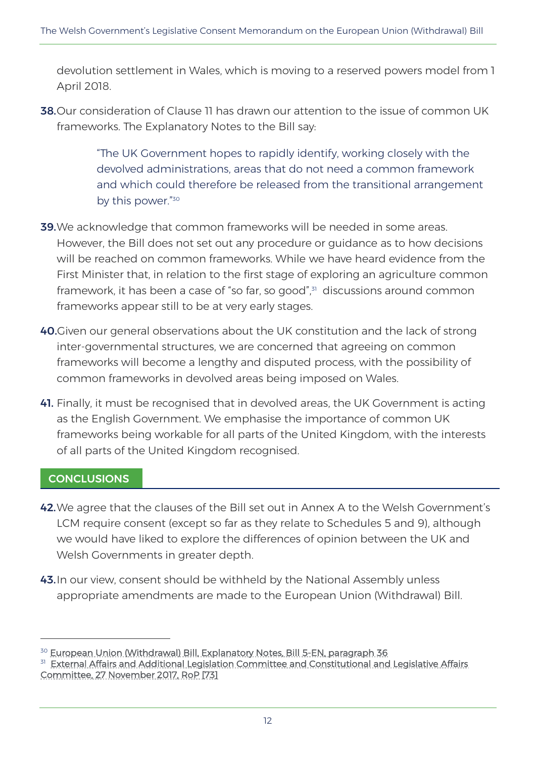devolution settlement in Wales, which is moving to a reserved powers model from 1 April 2018.

38.Our consideration of Clause 11 has drawn our attention to the issue of common UK frameworks. The Explanatory Notes to the Bill say:

> "The UK Government hopes to rapidly identify, working closely with the devolved administrations, areas that do not need a common framework and which could therefore be released from the transitional arrangement by this power."<sup>30</sup>

- **39.** We acknowledge that common frameworks will be needed in some areas. However, the Bill does not set out any procedure or guidance as to how decisions will be reached on common frameworks. While we have heard evidence from the First Minister that, in relation to the first stage of exploring an agriculture common framework, it has been a case of "so far, so good",<sup>31</sup> discussions around common frameworks appear still to be at very early stages.
- 40.Given our general observations about the UK constitution and the lack of strong inter-governmental structures, we are concerned that agreeing on common frameworks will become a lengthy and disputed process, with the possibility of common frameworks in devolved areas being imposed on Wales.
- 41. Finally, it must be recognised that in devolved areas, the UK Government is acting as the English Government. We emphasise the importance of common UK frameworks being workable for all parts of the United Kingdom, with the interests of all parts of the United Kingdom recognised.

#### **CONCLUSIONS**

- 42.We agree that the clauses of the Bill set out in Annex A to the Welsh Government's LCM require consent (except so far as they relate to Schedules 5 and 9), although we would have liked to explore the differences of opinion between the UK and Welsh Governments in greater depth.
- 43. In our view, consent should be withheld by the National Assembly unless appropriate amendments are made to the European Union (Withdrawal) Bill.

<sup>&</sup>lt;sup>30</sup> [European Union \(Withdrawal\) Bill, Explanatory Notes, Bill 5-EN, paragraph 36](https://publications.parliament.uk/pa/bills/cbill/2017-2019/0005/en/18005en.pdf)

<sup>&</sup>lt;sup>31</sup> External Affairs and Additional Legislation Committee and Constitutional and Legislative Affairs. [Committee, 27 November 2017, RoP \[73\]](http://record.assembly.wales/Committee/4889)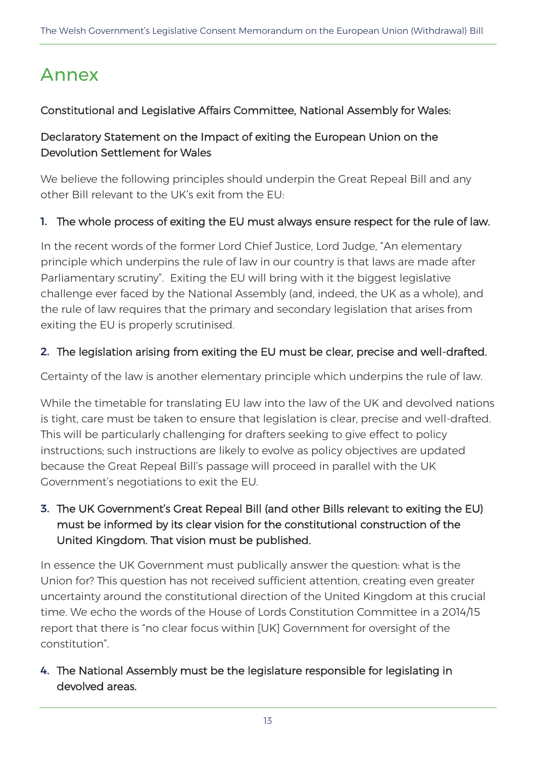# Annex

#### Constitutional and Legislative Affairs Committee, National Assembly for Wales:

#### Declaratory Statement on the Impact of exiting the European Union on the Devolution Settlement for Wales

We believe the following principles should underpin the Great Repeal Bill and any other Bill relevant to the UK's exit from the EU:

#### 1. The whole process of exiting the EU must always ensure respect for the rule of law.

In the recent words of the former Lord Chief Justice, Lord Judge, "An elementary principle which underpins the rule of law in our country is that laws are made after Parliamentary scrutiny". Exiting the EU will bring with it the biggest legislative challenge ever faced by the National Assembly (and, indeed, the UK as a whole), and the rule of law requires that the primary and secondary legislation that arises from exiting the EU is properly scrutinised.

#### 2. The legislation arising from exiting the EU must be clear, precise and well-drafted.

Certainty of the law is another elementary principle which underpins the rule of law.

While the timetable for translating EU law into the law of the UK and devolved nations is tight, care must be taken to ensure that legislation is clear, precise and well-drafted. This will be particularly challenging for drafters seeking to give effect to policy instructions; such instructions are likely to evolve as policy objectives are updated because the Great Repeal Bill's passage will proceed in parallel with the UK Government's negotiations to exit the EU.

#### 3. The UK Government's Great Repeal Bill (and other Bills relevant to exiting the EU) must be informed by its clear vision for the constitutional construction of the United Kingdom. That vision must be published.

In essence the UK Government must publically answer the question: what is the Union for? This question has not received sufficient attention, creating even greater uncertainty around the constitutional direction of the United Kingdom at this crucial time. We echo the words of the House of Lords Constitution Committee in a 2014/15 report that there is "no clear focus within [UK] Government for oversight of the constitution".

#### 4. The National Assembly must be the legislature responsible for legislating in devolved areas.